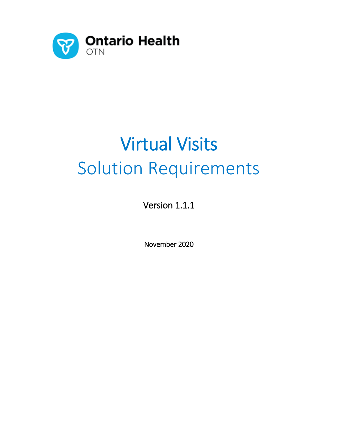

# Virtual Visits Solution Requirements

Version 1.1.1

November 2020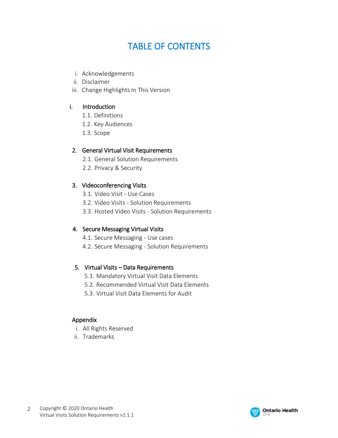# TABLE OF CONTENTS

- i. Acknowledgements
- ii. Disclaimer
- iii. Change Highlights In This Version

#### i. Introduction

- 1.1. Definitions
- 1.2. Key Audiences
- 1.3. Scope

#### 2. General Virtual Visit Requirements

- 2.1. General Solution Requirements
- 2.2. Privacy & Security

#### 3. Videoconferencing Visits

- 3.1. Video Visit Use Cases
- 3.2. Video Visits Solution Requirements
- 3.3. Hosted Video Visits Solution Requirements

#### 4. Secure Messaging Virtual Visits

- 4.1. Secure Messaging Use cases
- 4.2. Secure Messaging Solution Requirements

#### 5. Virtual Visits – Data Requirements

- 5.1. Mandatory Virtual Visit Data Elements
- 5.2. Recommended Virtual Visit Data Elements
- 5.3. Virtual Visit Data Elements for Audit

#### Appendix

- i. All Rights Reserved
- ii. Trademarks

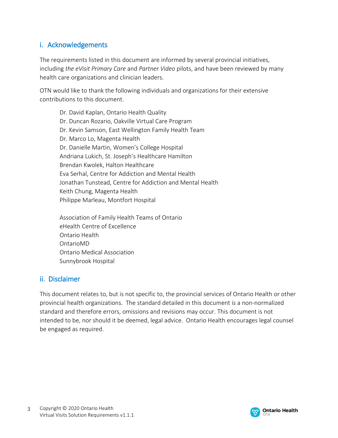# i. Acknowledgements

The requirements listed in this document are informed by several provincial initiatives, including *the eVisit Primary Care* and *Partner Video* pilots, and have been reviewed by many health care organizations and clinician leaders.

OTN would like to thank the following individuals and organizations for their extensive contributions to this document.

Dr. David Kaplan, Ontario Health Quality Dr. Duncan Rozario, Oakville Virtual Care Program Dr. Kevin Samson, East Wellington Family Health Team Dr. Marco Lo, Magenta Health Dr. Danielle Martin, Women's College Hospital Andriana Lukich, St. Joseph's Healthcare Hamilton Brendan Kwolek, Halton Healthcare Eva Serhal, Centre for Addiction and Mental Health Jonathan Tunstead, Centre for Addiction and Mental Health Keith Chung, Magenta Health Philippe Marleau, Montfort Hospital

Association of Family Health Teams of Ontario eHealth Centre of Excellence Ontario Health OntarioMD Ontario Medical Association Sunnybrook Hospital

## ii. Disclaimer

This document relates to, but is not specific to, the provincial services of Ontario Health or other provincial health organizations. The standard detailed in this document is a non-normalized standard and therefore errors, omissions and revisions may occur. This document is not intended to be, nor should it be deemed, legal advice. Ontario Health encourages legal counsel be engaged as required.

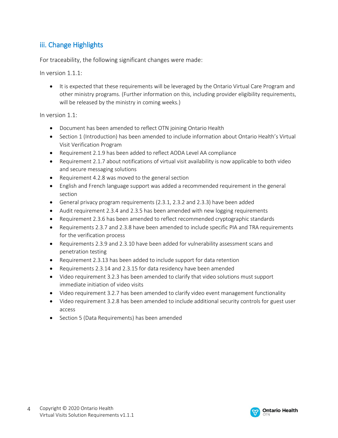# iii. Change Highlights

For traceability, the following significant changes were made:

In version 1.1.1:

• It is expected that these requirements will be leveraged by the Ontario Virtual Care Program and other ministry programs. (Further information on this, including provider eligibility requirements, will be released by the ministry in coming weeks.)

In version 1.1:

- Document has been amended to reflect OTN joining Ontario Health
- Section 1 (Introduction) has been amended to include information about Ontario Health's Virtual Visit Verification Program
- Requirement 2.1.9 has been added to reflect AODA Level AA compliance
- Requirement 2.1.7 about notifications of virtual visit availability is now applicable to both video and secure messaging solutions
- Requirement 4.2.8 was moved to the general section
- English and French language support was added a recommended requirement in the general section
- General privacy program requirements (2.3.1, 2.3.2 and 2.3.3) have been added
- Audit requirement 2.3.4 and 2.3.5 has been amended with new logging requirements
- Requirement 2.3.6 has been amended to reflect recommended cryptographic standards
- Requirements 2.3.7 and 2.3.8 have been amended to include specific PIA and TRA requirements for the verification process
- Requirements 2.3.9 and 2.3.10 have been added for vulnerability assessment scans and penetration testing
- Requirement 2.3.13 has been added to include support for data retention
- Requirements 2.3.14 and 2.3.15 for data residency have been amended
- Video requirement 3.2.3 has been amended to clarify that video solutions must support immediate initiation of video visits
- Video requirement 3.2.7 has been amended to clarify video event management functionality
- Video requirement 3.2.8 has been amended to include additional security controls for guest user access
- Section 5 (Data Requirements) has been amended

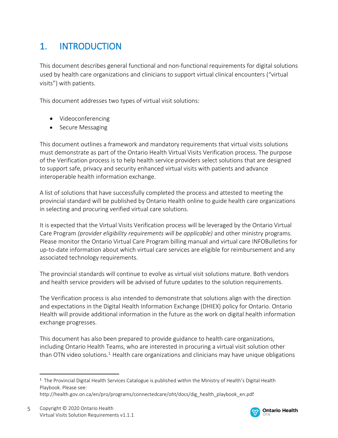# 1. INTRODUCTION

This document describes general functional and non-functional requirements for digital solutions used by health care organizations and clinicians to support virtual clinical encounters ("virtual visits") with patients.

This document addresses two types of virtual visit solutions:

- Videoconferencing
- Secure Messaging

This document outlines a framework and mandatory requirements that virtual visits solutions must demonstrate as part of the Ontario Health Virtual Visits Verification process. The purpose of the Verification process is to help health service providers select solutions that are designed to support safe, privacy and security enhanced virtual visits with patients and advance interoperable health information exchange.

A list of solutions that have successfully completed the process and attested to meeting the provincial standard will be published by Ontario Health online to guide health care organizations in selecting and procuring verified virtual care solutions.

It is expected that the Virtual Visits Verification process will be leveraged by the Ontario Virtual Care Program *(provider eligibility requirements will be applicable)* and other ministry programs. Please monitor the Ontario Virtual Care Program billing manual and virtual care INFOBulletins for up-to-date information about which virtual care services are eligible for reimbursement and any associated technology requirements.

The provincial standards will continue to evolve as virtual visit solutions mature. Both vendors and health service providers will be advised of future updates to the solution requirements.

The Verification process is also intended to demonstrate that solutions align with the direction and expectations in the Digital Health Information Exchange (DHIEX) policy for Ontario. Ontario Health will provide additional information in the future as the work on digital health information exchange progresses.

This document has also been prepared to provide guidance to health care organizations, including Ontario Health Teams, who are interested in procuring a virtual visit solution other than OTN video solutions.<sup>1</sup> Health care organizations and clinicians may have unique obligations



<sup>1</sup> The Provincial Digital Health Services Catalogue is published within the Ministry of Health's Digital Health Playbook. Please see:

http://health.gov.on.ca/en/pro/programs/connectedcare/oht/docs/dig\_health\_playbook\_en.pdf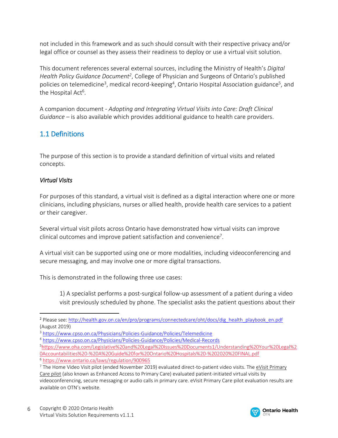not included in this framework and as such should consult with their respective privacy and/or legal office or counsel as they assess their readiness to deploy or use a virtual visit solution.

This document references several external sources, including the Ministry of Health's *Digital Health Policy Guidance Document<sup>2</sup>* , College of Physician and Surgeons of Ontario's published policies on telemedicine<sup>3</sup>, medical record-keeping<sup>4</sup>, Ontario Hospital Association guidance<sup>5</sup>, and the Hospital Act<sup>6</sup>.

A companion document - *Adopting and Integrating Virtual Visits into Care: Draft Clinical Guidance* – is also available which provides additional guidance to health care providers.

# 1.1 Definitions

The purpose of this section is to provide a standard definition of virtual visits and related concepts.

#### *Virtual Visits*

 $\overline{a}$ 

For purposes of this standard, a virtual visit is defined as a digital interaction where one or more clinicians, including physicians, nurses or allied health, provide health care services to a patient or their caregiver.

Several virtual visit pilots across Ontario have demonstrated how virtual visits can improve clinical outcomes and improve patient satisfaction and convenience<sup>7</sup>.

A virtual visit can be supported using one or more modalities, including videoconferencing and secure messaging, and may involve one or more digital transactions.

This is demonstrated in the following three use cases:

1) A specialist performs a post-surgical follow-up assessment of a patient during a video visit previously scheduled by phone. The specialist asks the patient questions about their



<sup>2</sup> Please see: [http://health.gov.on.ca/en/pro/programs/connectedcare/oht/docs/dig\\_health\\_playbook\\_en.pdf](http://health.gov.on.ca/en/pro/programs/connectedcare/oht/docs/dig_health_playbook_en.pdf) (August 2019)

<sup>3</sup> <https://www.cpso.on.ca/Physicians/Policies-Guidance/Policies/Telemedicine>

<sup>4</sup> <https://www.cpso.on.ca/Physicians/Policies-Guidance/Policies/Medical-Records>

<sup>5</sup>[https://www.oha.com/Legislative%20and%20Legal%20Issues%20Documents1/Understanding%20Your%20Legal%2](https://www.oha.com/Legislative%20and%20Legal%20Issues%20Documents1/Understanding%20Your%20Legal%20Accountabilities%20-%20A%20Guide%20for%20Ontario%20Hospitals%20-%202020%20FINAL.pdf) [0Accountabilities%20-%20A%20Guide%20for%20Ontario%20Hospitals%20-%202020%20FINAL.pdf](https://www.oha.com/Legislative%20and%20Legal%20Issues%20Documents1/Understanding%20Your%20Legal%20Accountabilities%20-%20A%20Guide%20for%20Ontario%20Hospitals%20-%202020%20FINAL.pdf) <sup>6</sup> <https://www.ontario.ca/laws/regulation/900965>

<sup>&</sup>lt;sup>7</sup> The Home Video Visit pilot (ended November 2019) evaluated direct-to-patient video visits. The eVisit Primary [Care pilot](https://otn.ca/evisit-primary-care/) (also known as Enhanced Access to Primary Care) evaluated patient-initiated virtual visits by videoconferencing, secure messaging or audio calls in primary care. eVisit Primary Care pilot evaluation results are available on OTN's website.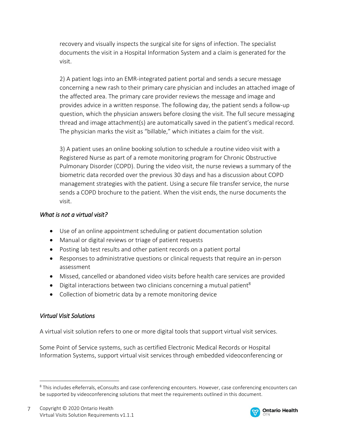recovery and visually inspects the surgical site for signs of infection. The specialist documents the visit in a Hospital Information System and a claim is generated for the visit.

2) A patient logs into an EMR-integrated patient portal and sends a secure message concerning a new rash to their primary care physician and includes an attached image of the affected area. The primary care provider reviews the message and image and provides advice in a written response. The following day, the patient sends a follow-up question, which the physician answers before closing the visit. The full secure messaging thread and image attachment(s) are automatically saved in the patient's medical record. The physician marks the visit as "billable," which initiates a claim for the visit.

3) A patient uses an online booking solution to schedule a routine video visit with a Registered Nurse as part of a remote monitoring program for Chronic Obstructive Pulmonary Disorder (COPD). During the video visit, the nurse reviews a summary of the biometric data recorded over the previous 30 days and has a discussion about COPD management strategies with the patient. Using a secure file transfer service, the nurse sends a COPD brochure to the patient. When the visit ends, the nurse documents the visit.

#### *What is not a virtual visit?*

- Use of an online appointment scheduling or patient documentation solution
- Manual or digital reviews or triage of patient requests
- Posting lab test results and other patient records on a patient portal
- Responses to administrative questions or clinical requests that require an in-person assessment
- Missed, cancelled or abandoned video visits before health care services are provided
- $\bullet$  Digital interactions between two clinicians concerning a mutual patient<sup>8</sup>
- Collection of biometric data by a remote monitoring device

## *Virtual Visit Solutions*

 $\overline{a}$ 

A virtual visit solution refers to one or more digital tools that support virtual visit services.

Some Point of Service systems, such as certified Electronic Medical Records or Hospital Information Systems, support virtual visit services through embedded videoconferencing or



<sup>&</sup>lt;sup>8</sup> This includes eReferrals, eConsults and case conferencing encounters. However, case conferencing encounters can be supported by videoconferencing solutions that meet the requirements outlined in this document.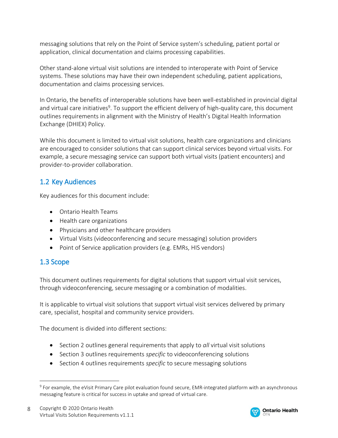messaging solutions that rely on the Point of Service system's scheduling, patient portal or application, clinical documentation and claims processing capabilities.

Other stand-alone virtual visit solutions are intended to interoperate with Point of Service systems. These solutions may have their own independent scheduling, patient applications, documentation and claims processing services.

In Ontario, the benefits of interoperable solutions have been well-established in provincial digital and virtual care initiatives<sup>9</sup>. To support the efficient delivery of high-quality care, this document outlines requirements in alignment with the Ministry of Health's Digital Health Information Exchange (DHIEX) Policy.

While this document is limited to virtual visit solutions, health care organizations and clinicians are encouraged to consider solutions that can support clinical services beyond virtual visits. For example, a secure messaging service can support both virtual visits (patient encounters) and provider-to-provider collaboration.

# 1.2 Key Audiences

Key audiences for this document include:

- Ontario Health Teams
- Health care organizations
- Physicians and other healthcare providers
- Virtual Visits (videoconferencing and secure messaging) solution providers
- Point of Service application providers (e.g. EMRs, HIS vendors)

# 1.3 Scope

 $\overline{a}$ 

This document outlines requirements for digital solutions that support virtual visit services, through videoconferencing, secure messaging or a combination of modalities.

It is applicable to virtual visit solutions that support virtual visit services delivered by primary care, specialist, hospital and community service providers.

The document is divided into different sections:

- **Section 2 outlines general requirements that apply to** *all* **virtual visit solutions**
- **Section 3 outlines requirements** *specific* to videoconferencing solutions
- Section 4 outlines requirements *specific* to secure messaging solutions



<sup>9</sup> For example, the eVisit Primary Care pilot evaluation found secure, EMR-integrated platform with an asynchronous messaging feature is critical for success in uptake and spread of virtual care.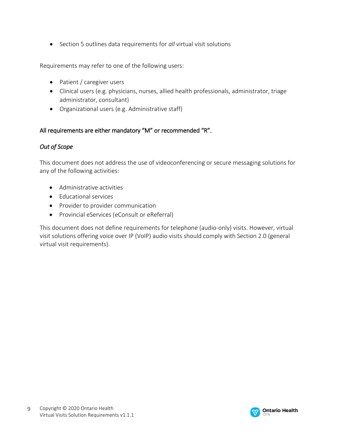Section 5 outlines data requirements for *all* virtual visit solutions

Requirements may refer to one of the following users:

- Patient / caregiver users
- Clinical users (e.g. physicians, nurses, allied health professionals, administrator, triage administrator, consultant)
- Organizational users (e.g. Administrative staff)

#### All requirements are either mandatory "M" or recommended "R".

#### *Out of Scope*

This document does not address the use of videoconferencing or secure messaging solutions for any of the following activities:

- Administrative activities
- Educational services
- Provider to provider communication
- Provincial eServices (eConsult or eReferral)

This document does not define requirements for telephone (audio-only) visits. However, virtual visit solutions offering voice over IP (VoIP) audio visits should comply with Section 2.0 (general virtual visit requirements).

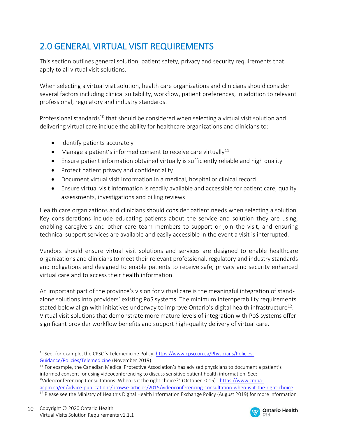# 2.0 GENERAL VIRTUAL VISIT REQUIREMENTS

This section outlines general solution, patient safety, privacy and security requirements that apply to all virtual visit solutions.

When selecting a virtual visit solution, health care organizations and clinicians should consider several factors including clinical suitability, workflow, patient preferences, in addition to relevant professional, regulatory and industry standards.

Professional standards<sup>10</sup> that should be considered when selecting a virtual visit solution and delivering virtual care include the ability for healthcare organizations and clinicians to:

- Identify patients accurately
- $\bullet$  Manage a patient's informed consent to receive care virtually<sup>11</sup>
- Ensure patient information obtained virtually is sufficiently reliable and high quality
- Protect patient privacy and confidentiality
- Document virtual visit information in a medical, hospital or clinical record
- Ensure virtual visit information is readily available and accessible for patient care, quality assessments, investigations and billing reviews

Health care organizations and clinicians should consider patient needs when selecting a solution. Key considerations include educating patients about the service and solution they are using, enabling caregivers and other care team members to support or join the visit, and ensuring technical support services are available and easily accessible in the event a visit is interrupted.

Vendors should ensure virtual visit solutions and services are designed to enable healthcare organizations and clinicians to meet their relevant professional, regulatory and industry standards and obligations and designed to enable patients to receive safe, privacy and security enhanced virtual care and to access their health information.

An important part of the province's vision for virtual care is the meaningful integration of standalone solutions into providers' existing PoS systems. The minimum interoperability requirements stated below align with initiatives underway to improve Ontario's digital health infrastructure<sup>12</sup>. Virtual visit solutions that demonstrate more mature levels of integration with PoS systems offer significant provider workflow benefits and support high-quality delivery of virtual care.



<sup>&</sup>lt;sup>10</sup> See, for example, the CPSO's Telemedicine Policy[. https://www.cpso.on.ca/Physicians/Policies-](https://www.cpso.on.ca/Physicians/Policies-Guidance/Policies/Telemedicine)[Guidance/Policies/Telemedicine](https://www.cpso.on.ca/Physicians/Policies-Guidance/Policies/Telemedicine) (November 2019)

<sup>&</sup>lt;sup>11</sup> For example, the Canadian Medical Protective Association's has advised physicians to document a patient's informed consent for using videoconferencing to discuss sensitive patient health information. See: "Videoconferencing Consultations: When is it the right choice?" (October 2015). [https://www.cmpa](https://www.cmpa-acpm.ca/en/advice-publications/browse-articles/2015/videoconferencing-consultation-when-is-it-the-right-choice)[acpm.ca/en/advice-publications/browse-articles/2015/videoconferencing-consultation-when-is-it-the-right-choice](https://www.cmpa-acpm.ca/en/advice-publications/browse-articles/2015/videoconferencing-consultation-when-is-it-the-right-choice)

<sup>&</sup>lt;sup>12</sup> Please see the Ministry of Health's Digital Health Information Exchange Policy (August 2019) for more information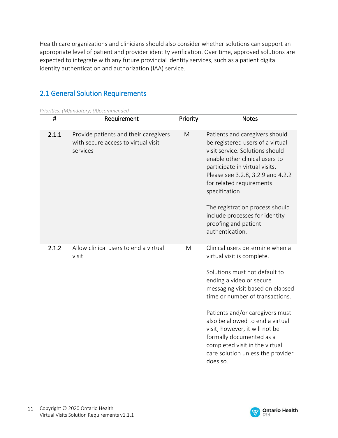Health care organizations and clinicians should also consider whether solutions can support an appropriate level of patient and provider identity verification. Over time, approved solutions are expected to integrate with any future provincial identity services, such as a patient digital identity authentication and authorization (IAA) service.

# 2.1 General Solution Requirements

*Priorities: (M)andatory; (R)ecommended*

| #     | Requirement                                                                              | Priority | <b>Notes</b>                                                                                                                                                                                                                                                                                                                                                                                                              |
|-------|------------------------------------------------------------------------------------------|----------|---------------------------------------------------------------------------------------------------------------------------------------------------------------------------------------------------------------------------------------------------------------------------------------------------------------------------------------------------------------------------------------------------------------------------|
| 2.1.1 | Provide patients and their caregivers<br>with secure access to virtual visit<br>services | M        | Patients and caregivers should<br>be registered users of a virtual<br>visit service. Solutions should<br>enable other clinical users to<br>participate in virtual visits.<br>Please see 3.2.8, 3.2.9 and 4.2.2<br>for related requirements<br>specification<br>The registration process should<br>include processes for identity<br>proofing and patient<br>authentication.                                               |
| 2.1.2 | Allow clinical users to end a virtual<br>visit                                           | M        | Clinical users determine when a<br>virtual visit is complete.<br>Solutions must not default to<br>ending a video or secure<br>messaging visit based on elapsed<br>time or number of transactions.<br>Patients and/or caregivers must<br>also be allowed to end a virtual<br>visit; however, it will not be<br>formally documented as a<br>completed visit in the virtual<br>care solution unless the provider<br>does so. |

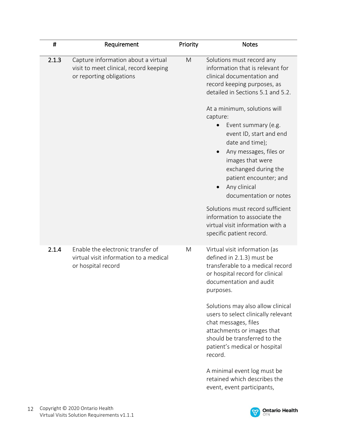| $\pmb{\sharp}$ | Requirement                                                                                               | Priority | <b>Notes</b>                                                                                                                                                                                                                                                                                                |
|----------------|-----------------------------------------------------------------------------------------------------------|----------|-------------------------------------------------------------------------------------------------------------------------------------------------------------------------------------------------------------------------------------------------------------------------------------------------------------|
| 2.1.3          | Capture information about a virtual<br>visit to meet clinical, record keeping<br>or reporting obligations | M        | Solutions must record any<br>information that is relevant for<br>clinical documentation and<br>record keeping purposes, as<br>detailed in Sections 5.1 and 5.2.                                                                                                                                             |
|                |                                                                                                           |          | At a minimum, solutions will<br>capture:<br>Event summary (e.g.<br>event ID, start and end<br>date and time);<br>Any messages, files or<br>images that were<br>exchanged during the<br>patient encounter; and<br>Any clinical<br>documentation or notes<br>Solutions must record sufficient                 |
|                |                                                                                                           |          | information to associate the<br>virtual visit information with a<br>specific patient record.                                                                                                                                                                                                                |
| 2.1.4          | Enable the electronic transfer of<br>virtual visit information to a medical<br>or hospital record         | M        | Virtual visit information (as<br>defined in 2.1.3) must be<br>transferable to a medical record<br>or hospital record for clinical<br>documentation and audit<br>purposes.<br>Solutions may also allow clinical<br>users to select clinically relevant<br>chat messages, files<br>attachments or images that |
|                |                                                                                                           |          | should be transferred to the<br>patient's medical or hospital<br>record.<br>A minimal event log must be<br>retained which describes the<br>event, event participants,                                                                                                                                       |

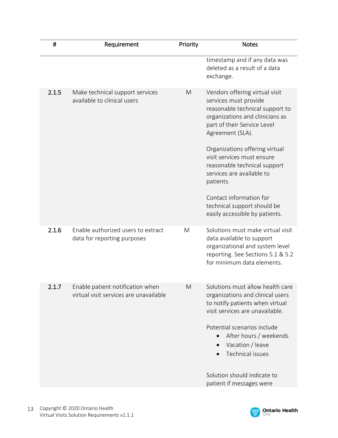| #     | Requirement                                                                | Priority | <b>Notes</b>                                                                                                                                                                                                                                     |
|-------|----------------------------------------------------------------------------|----------|--------------------------------------------------------------------------------------------------------------------------------------------------------------------------------------------------------------------------------------------------|
|       |                                                                            |          | timestamp and if any data was<br>deleted as a result of a data<br>exchange.                                                                                                                                                                      |
| 2.1.5 | Make technical support services<br>available to clinical users             | M        | Vendors offering virtual visit<br>services must provide<br>reasonable technical support to<br>organizations and clinicians as<br>part of their Service Level<br>Agreement (SLA).<br>Organizations offering virtual<br>visit services must ensure |
|       |                                                                            |          | reasonable technical support<br>services are available to<br>patients.                                                                                                                                                                           |
|       |                                                                            |          | Contact information for<br>technical support should be<br>easily accessible by patients.                                                                                                                                                         |
| 2.1.6 | Enable authorized users to extract<br>data for reporting purposes          | M        | Solutions must make virtual visit<br>data available to support<br>organizational and system level<br>reporting. See Sections 5.1 & 5.2<br>for minimum data elements.                                                                             |
| 2.1.7 | Enable patient notification when<br>virtual visit services are unavailable | M        | Solutions must allow health care<br>organizations and clinical users<br>to notify patients when virtual<br>visit services are unavailable.                                                                                                       |
|       |                                                                            |          | Potential scenarios include<br>After hours / weekends<br>Vacation / leave<br>Technical issues                                                                                                                                                    |
|       |                                                                            |          | Solution should indicate to<br>patient if messages were                                                                                                                                                                                          |

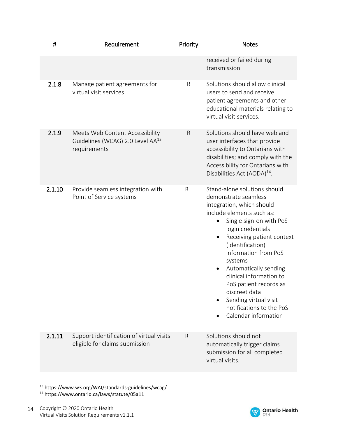| $\pmb{\sharp}$ | Requirement                                                                                     | Priority | <b>Notes</b>                                                                                                                                                                                                                                                                                                                                                                                                                        |
|----------------|-------------------------------------------------------------------------------------------------|----------|-------------------------------------------------------------------------------------------------------------------------------------------------------------------------------------------------------------------------------------------------------------------------------------------------------------------------------------------------------------------------------------------------------------------------------------|
|                |                                                                                                 |          | received or failed during<br>transmission.                                                                                                                                                                                                                                                                                                                                                                                          |
| 2.1.8          | Manage patient agreements for<br>virtual visit services                                         | R        | Solutions should allow clinical<br>users to send and receive<br>patient agreements and other<br>educational materials relating to<br>virtual visit services.                                                                                                                                                                                                                                                                        |
| 2.1.9          | Meets Web Content Accessibility<br>Guidelines (WCAG) 2.0 Level AA <sup>13</sup><br>requirements | R        | Solutions should have web and<br>user interfaces that provide<br>accessibility to Ontarians with<br>disabilities; and comply with the<br>Accessibility for Ontarians with<br>Disabilities Act (AODA) <sup>14</sup> .                                                                                                                                                                                                                |
| 2.1.10         | Provide seamless integration with<br>Point of Service systems                                   | R        | Stand-alone solutions should<br>demonstrate seamless<br>integration, which should<br>include elements such as:<br>Single sign-on with PoS<br>login credentials<br>Receiving patient context<br>٠<br>(identification)<br>information from PoS<br>systems<br>Automatically sending<br>clinical information to<br>PoS patient records as<br>discreet data<br>Sending virtual visit<br>notifications to the PoS<br>Calendar information |
| 2.1.11         | Support identification of virtual visits<br>eligible for claims submission                      | R        | Solutions should not<br>automatically trigger claims<br>submission for all completed<br>virtual visits.                                                                                                                                                                                                                                                                                                                             |
|                |                                                                                                 |          |                                                                                                                                                                                                                                                                                                                                                                                                                                     |

<sup>13</sup> https://www.w3.org/WAI/standards-guidelines/wcag/ <sup>14</sup> https://www.ontario.ca/laws/statute/05a11

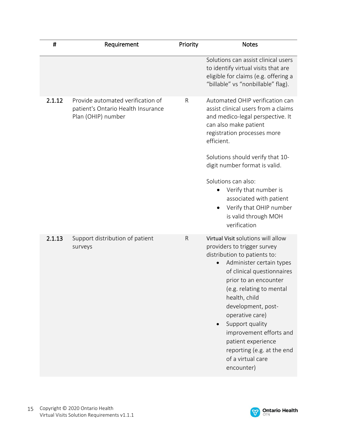| #      | Requirement                                                                                   | Priority     | <b>Notes</b>                                                                                                                                                                                                                                                                                                                                                                                                     |
|--------|-----------------------------------------------------------------------------------------------|--------------|------------------------------------------------------------------------------------------------------------------------------------------------------------------------------------------------------------------------------------------------------------------------------------------------------------------------------------------------------------------------------------------------------------------|
|        |                                                                                               |              | Solutions can assist clinical users<br>to identify virtual visits that are<br>eligible for claims (e.g. offering a<br>"billable" vs "nonbillable" flag).                                                                                                                                                                                                                                                         |
| 2.1.12 | Provide automated verification of<br>patient's Ontario Health Insurance<br>Plan (OHIP) number | R            | Automated OHIP verification can<br>assist clinical users from a claims<br>and medico-legal perspective. It<br>can also make patient<br>registration processes more<br>efficient.<br>Solutions should verify that 10-<br>digit number format is valid.<br>Solutions can also:<br>Verify that number is<br>$\bullet$<br>associated with patient<br>Verify that OHIP number<br>is valid through MOH<br>verification |
| 2.1.13 | Support distribution of patient<br>surveys                                                    | $\mathsf{R}$ | Virtual Visit solutions will allow<br>providers to trigger survey<br>distribution to patients to:<br>Administer certain types<br>of clinical questionnaires<br>prior to an encounter<br>(e.g. relating to mental<br>health, child<br>development, post-<br>operative care)<br>Support quality<br>improvement efforts and<br>patient experience<br>reporting (e.g. at the end<br>of a virtual care<br>encounter)  |

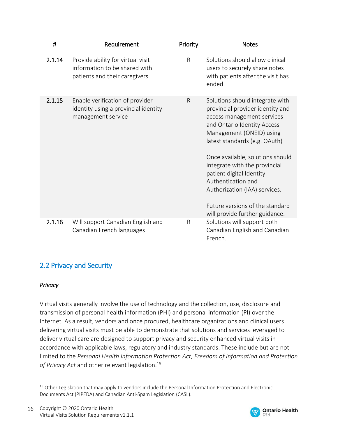| #      | Requirement                                                                                         | Priority     | <b>Notes</b>                                                                                                                                                                                                                                                                                                                                                                                                               |
|--------|-----------------------------------------------------------------------------------------------------|--------------|----------------------------------------------------------------------------------------------------------------------------------------------------------------------------------------------------------------------------------------------------------------------------------------------------------------------------------------------------------------------------------------------------------------------------|
| 2.1.14 | Provide ability for virtual visit<br>information to be shared with<br>patients and their caregivers | $\mathsf{R}$ | Solutions should allow clinical<br>users to securely share notes<br>with patients after the visit has<br>ended.                                                                                                                                                                                                                                                                                                            |
| 2.1.15 | Enable verification of provider<br>identity using a provincial identity<br>management service       | $\mathsf{R}$ | Solutions should integrate with<br>provincial provider identity and<br>access management services<br>and Ontario Identity Access<br>Management (ONEID) using<br>latest standards (e.g. OAuth)<br>Once available, solutions should<br>integrate with the provincial<br>patient digital Identity<br>Authentication and<br>Authorization (IAA) services.<br>Future versions of the standard<br>will provide further guidance. |
| 2.1.16 | Will support Canadian English and<br>Canadian French languages                                      | R            | Solutions will support both<br>Canadian English and Canadian<br>French.                                                                                                                                                                                                                                                                                                                                                    |

# 2.2 Privacy and Security

#### *Privacy*

 $\overline{a}$ 

Virtual visits generally involve the use of technology and the collection, use, disclosure and transmission of personal health information (PHI) and personal information (PI) over the Internet. As a result, vendors and once procured, healthcare organizations and clinical users delivering virtual visits must be able to demonstrate that solutions and services leveraged to deliver virtual care are designed to support privacy and security enhanced virtual visits in accordance with applicable laws, regulatory and industry standards. These include but are not limited to the *Personal Health Information Protection Act, Freedom of Information and Protection of Privacy Act* and other relevant legislation. 15



<sup>&</sup>lt;sup>15</sup> Other Legislation that may apply to vendors include the Personal Information Protection and Electronic Documents Act (PIPEDA) and Canadian Anti-Spam Legislation (CASL).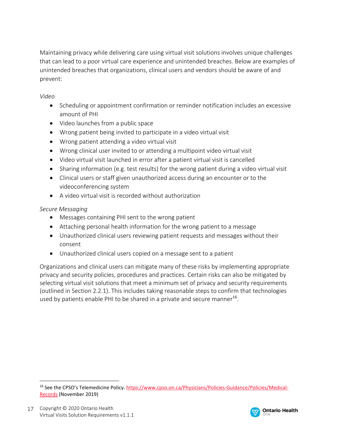Maintaining privacy while delivering care using virtual visit solutions involves unique challenges that can lead to a poor virtual care experience and unintended breaches. Below are examples of unintended breaches that organizations, clinical users and vendors should be aware of and prevent:

#### *Video*

- Scheduling or appointment confirmation or reminder notification includes an excessive amount of PHI
- Video launches from a public space
- Wrong patient being invited to participate in a video virtual visit
- Wrong patient attending a video virtual visit
- Wrong clinical user invited to or attending a multipoint video virtual visit
- Video virtual visit launched in error after a patient virtual visit is cancelled
- Sharing information (e.g. test results) for the wrong patient during a video virtual visit
- Clinical users or staff given unauthorized access during an encounter or to the videoconferencing system
- A video virtual visit is recorded without authorization

#### *Secure Messaging*

- Messages containing PHI sent to the wrong patient
- Attaching personal health information for the wrong patient to a message
- Unauthorized clinical users reviewing patient requests and messages without their consent
- Unauthorized clinical users copied on a message sent to a patient

Organizations and clinical users can mitigate many of these risks by implementing appropriate privacy and security policies, procedures and practices. Certain risks can also be mitigated by selecting virtual visit solutions that meet a minimum set of privacy and security requirements (outlined in Section 2.2.1). This includes taking reasonable steps to confirm that technologies used by patients enable PHI to be shared in a private and secure manner<sup>16</sup>.



<sup>16</sup> See the CPSO's Telemedicine Policy. [https://www.cpso.on.ca/Physicians/Policies-Guidance/Policies/Medical-](https://www.cpso.on.ca/Physicians/Policies-Guidance/Policies/Medical-Records)[Records](https://www.cpso.on.ca/Physicians/Policies-Guidance/Policies/Medical-Records) (November 2019)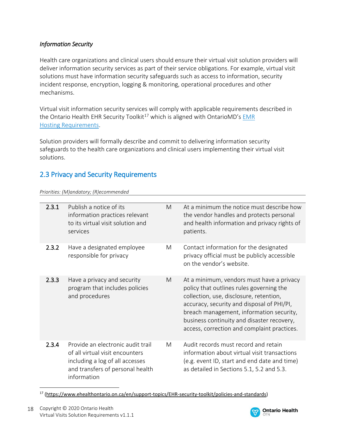#### *Information Security*

Health care organizations and clinical users should ensure their virtual visit solution providers will deliver information security services as part of their service obligations. For example, virtual visit solutions must have information security safeguards such as access to information, security incident response, encryption, logging & monitoring, operational procedures and other mechanisms.

Virtual visit information security services will comply with applicable requirements described in the Ontario Health EHR Security Toolkit<sup>17</sup> which is aligned with [OntarioMD's](https://www.ontariomd.ca/emr-certification/emr-specification/library) EMR Hosting [Requirements.](https://www.ontariomd.ca/emr-certification/emr-specification/library)

Solution providers will formally describe and commit to delivering information security safeguards to the health care organizations and clinical users implementing their virtual visit solutions.

# 2.3 Privacy and Security Requirements

*Priorities: (M)andatory; (R)ecommended*

| 2.3.1 | Publish a notice of its<br>information practices relevant<br>to its virtual visit solution and<br>services                                                 | M | At a minimum the notice must describe how<br>the vendor handles and protects personal<br>and health information and privacy rights of<br>patients.                                                                                                                                                                      |
|-------|------------------------------------------------------------------------------------------------------------------------------------------------------------|---|-------------------------------------------------------------------------------------------------------------------------------------------------------------------------------------------------------------------------------------------------------------------------------------------------------------------------|
| 2.3.2 | Have a designated employee<br>responsible for privacy                                                                                                      | M | Contact information for the designated<br>privacy official must be publicly accessible<br>on the vendor's website.                                                                                                                                                                                                      |
| 2.3.3 | Have a privacy and security<br>program that includes policies<br>and procedures                                                                            | M | At a minimum, vendors must have a privacy<br>policy that outlines rules governing the<br>collection, use, disclosure, retention,<br>accuracy, security and disposal of PHI/PI,<br>breach management, information security,<br>business continuity and disaster recovery,<br>access, correction and complaint practices. |
| 2.3.4 | Provide an electronic audit trail<br>of all virtual visit encounters<br>including a log of all accesses<br>and transfers of personal health<br>information | M | Audit records must record and retain<br>information about virtual visit transactions<br>(e.g. event ID, start and end date and time)<br>as detailed in Sections 5.1, 5.2 and 5.3.                                                                                                                                       |

<sup>17</sup> (https://www.ehealthontario.on.ca/en/support-topics/EHR-security-toolkit/policies-and-standards)

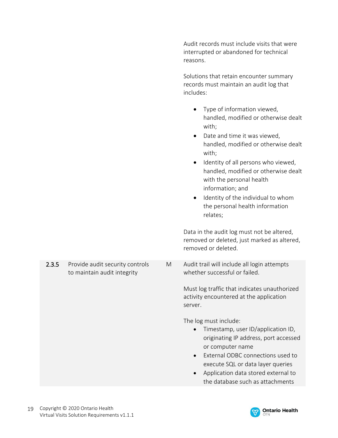Audit records must include visits that were interrupted or abandoned for technical reasons.

Solutions that retain encounter summary records must maintain an audit log that includes:

- Type of information viewed, handled, modified or otherwise dealt with;
- Date and time it was viewed, handled, modified or otherwise dealt with;
- Identity of all persons who viewed, handled, modified or otherwise dealt with the personal health information; and
- Identity of the individual to whom the personal health information relates;

Data in the audit log must not be altered, removed or deleted, just marked as altered, removed or deleted.

M Audit trail will include all login attempts whether successful or failed.

> Must log traffic that indicates unauthorized activity encountered at the application server.

The log must include:

- Timestamp, user ID/application ID, originating IP address, port accessed or computer name
- External ODBC connections used to execute SQL or data layer queries
- Application data stored external to the database such as attachments



to maintain audit integrity

2.3.5 Provide audit security controls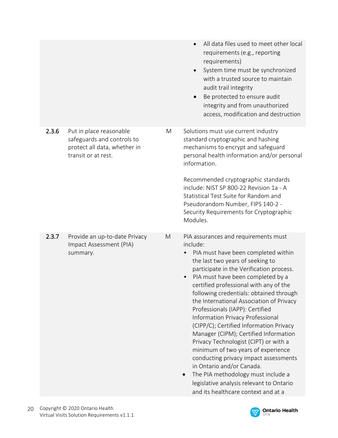|       |                                                                                                              |   | All data files used to meet other local<br>requirements (e.g., reporting<br>requirements)<br>System time must be synchronized<br>with a trusted source to maintain<br>audit trail integrity<br>Be protected to ensure audit<br>integrity and from unauthorized<br>access, modification and destruction                                                                                                                                                                                                                                                                                                                                                                                                                                                                                 |
|-------|--------------------------------------------------------------------------------------------------------------|---|----------------------------------------------------------------------------------------------------------------------------------------------------------------------------------------------------------------------------------------------------------------------------------------------------------------------------------------------------------------------------------------------------------------------------------------------------------------------------------------------------------------------------------------------------------------------------------------------------------------------------------------------------------------------------------------------------------------------------------------------------------------------------------------|
| 2.3.6 | Put in place reasonable<br>safeguards and controls to<br>protect all data, whether in<br>transit or at rest. | M | Solutions must use current industry<br>standard cryptographic and hashing<br>mechanisms to encrypt and safeguard<br>personal health information and/or personal<br>information.<br>Recommended cryptographic standards<br>include: NIST SP 800-22 Revision 1a - A<br>Statistical Test Suite for Random and<br>Pseudorandom Number, FIPS 140-2 -<br>Security Requirements for Cryptographic<br>Modules.                                                                                                                                                                                                                                                                                                                                                                                 |
| 2.3.7 | Provide an up-to-date Privacy<br>Impact Assessment (PIA)<br>summary.                                         | M | PIA assurances and requirements must<br>include:<br>PIA must have been completed within<br>the last two years of seeking to<br>participate in the Verification process.<br>PIA must have been completed by a<br>certified professional with any of the<br>following credentials: obtained through<br>the International Association of Privacy<br>Professionals (IAPP): Certified<br>Information Privacy Professional<br>(CIPP/C); Certified Information Privacy<br>Manager (CIPM); Certified Information<br>Privacy Technologist (CIPT) or with a<br>minimum of two years of experience<br>conducting privacy impact assessments<br>in Ontario and/or Canada.<br>The PIA methodology must include a<br>legislative analysis relevant to Ontario<br>and its healthcare context and at a |

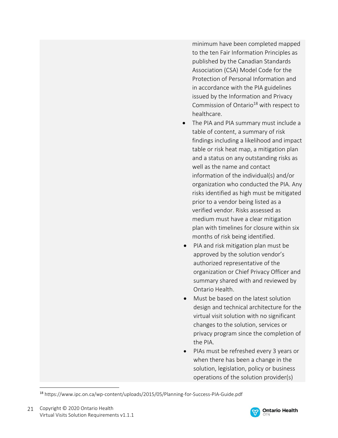minimum have been completed mapped to the ten Fair Information Principles as published by the Canadian Standards Association (CSA) Model Code for the Protection of Personal Information and in accordance with the PIA guidelines issued by the Information and Privacy Commission of Ontario<sup>18</sup> with respect to healthcare.

- The PIA and PIA summary must include a table of content, a summary of risk findings including a likelihood and impact table or risk heat map, a mitigation plan and a status on any outstanding risks as well as the name and contact information of the individual(s) and/or organization who conducted the PIA. Any risks identified as high must be mitigated prior to a vendor being listed as a verified vendor. Risks assessed as medium must have a clear mitigation plan with timelines for closure within six months of risk being identified.
- PIA and risk mitigation plan must be approved by the solution vendor's authorized representative of the organization or Chief Privacy Officer and summary shared with and reviewed by Ontario Health.
- Must be based on the latest solution design and technical architecture for the virtual visit solution with no significant changes to the solution, services or privacy program since the completion of the PIA.
- PIAs must be refreshed every 3 years or when there has been a change in the solution, legislation, policy or business operations of the solution provider(s)



<sup>18</sup> https://www.ipc.on.ca/wp-content/uploads/2015/05/Planning-for-Success-PIA-Guide.pdf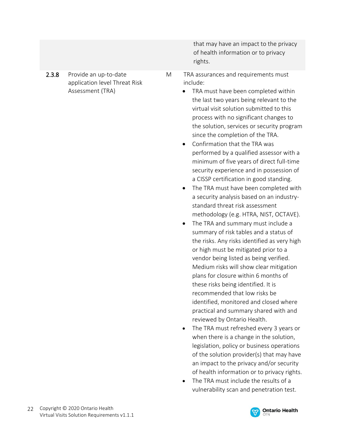that may have an impact to the privacy of health information or to privacy rights.

- 2.3.8 Provide an up-to-date application level Threat Risk Assessment (TRA)
- M TRA assurances and requirements must include:
	- TRA must have been completed within the last two years being relevant to the virtual visit solution submitted to this process with no significant changes to the solution, services or security program since the completion of the TRA.
	- Confirmation that the TRA was performed by a qualified assessor with a minimum of five years of direct full-time security experience and in possession of a CISSP certification in good standing.
	- The TRA must have been completed with a security analysis based on an industrystandard threat risk assessment methodology (e.g. HTRA, NIST, OCTAVE).
	- The TRA and summary must include a summary of risk tables and a status of the risks. Any risks identified as very high or high must be mitigated prior to a vendor being listed as being verified. Medium risks will show clear mitigation plans for closure within 6 months of these risks being identified. It is recommended that low risks be identified, monitored and closed where practical and summary shared with and reviewed by Ontario Health.
	- The TRA must refreshed every 3 years or when there is a change in the solution, legislation, policy or business operations of the solution provider(s) that may have an impact to the privacy and/or security of health information or to privacy rights.
	- The TRA must include the results of a vulnerability scan and penetration test.

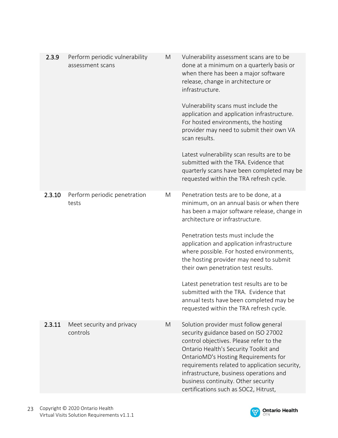| 2.3.9  | Perform periodic vulnerability<br>assessment scans | M | Vulnerability assessment scans are to be<br>done at a minimum on a quarterly basis or<br>when there has been a major software<br>release, change in architecture or<br>infrastructure.<br>Vulnerability scans must include the<br>application and application infrastructure.<br>For hosted environments, the hosting<br>provider may need to submit their own VA<br>scan results.<br>Latest vulnerability scan results are to be<br>submitted with the TRA. Evidence that<br>quarterly scans have been completed may be<br>requested within the TRA refresh cycle.  |
|--------|----------------------------------------------------|---|----------------------------------------------------------------------------------------------------------------------------------------------------------------------------------------------------------------------------------------------------------------------------------------------------------------------------------------------------------------------------------------------------------------------------------------------------------------------------------------------------------------------------------------------------------------------|
| 2.3.10 | Perform periodic penetration<br>tests              | M | Penetration tests are to be done, at a<br>minimum, on an annual basis or when there<br>has been a major software release, change in<br>architecture or infrastructure.<br>Penetration tests must include the<br>application and application infrastructure<br>where possible. For hosted environments,<br>the hosting provider may need to submit<br>their own penetration test results.<br>Latest penetration test results are to be<br>submitted with the TRA. Evidence that<br>annual tests have been completed may be<br>requested within the TRA refresh cycle. |
| 2.3.11 | Meet security and privacy<br>controls              | M | Solution provider must follow general<br>security guidance based on ISO 27002<br>control objectives. Please refer to the<br>Ontario Health's Security Toolkit and<br>OntarioMD's Hosting Requirements for<br>requirements related to application security,<br>infrastructure, business operations and<br>business continuity. Other security<br>certifications such as SOC2, Hitrust,                                                                                                                                                                                |

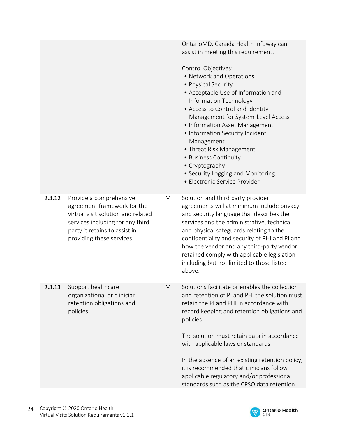OntarioMD, Canada Health Infoway can assist in meeting this requirement.

Control Objectives:

- Network and Operations
- Physical Security
- Acceptable Use of Information and Information Technology
- Access to Control and Identity Management for System-Level Access
- Information Asset Management
- Information Security Incident Management
- Threat Risk Management
- Business Continuity
- Cryptography
- Security Logging and Monitoring
- Electronic Service Provider

2.3.12 Provide a comprehensive agreement framework for the virtual visit solution and related services including for any third party it retains to assist in providing these services

2.3.13 Support healthcare organizational or clinician retention obligations and

policies

- M Solution and third party provider agreements will at minimum include privacy and security language that describes the services and the administrative, technical and physical safeguards relating to the confidentiality and security of PHI and PI and how the vendor and any third-party vendor retained comply with applicable legislation including but not limited to those listed above.
- M Solutions facilitate or enables the collection and retention of PI and PHI the solution must retain the PI and PHI in accordance with record keeping and retention obligations and policies.

The solution must retain data in accordance with applicable laws or standards.

In the absence of an existing retention policy, it is recommended that clinicians follow applicable regulatory and/or professional standards such as the CPSO data retention

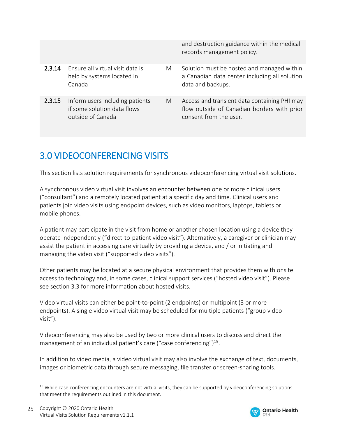2.3.14 Ensure all virtual visit data is held by systems located in Canada

2.3.15 Inform users including patients if some solution data flows outside of Canada

and destruction guidance within the medical records management policy.

- M Solution must be hosted and managed within a Canadian data center including all solution data and backups.
- M Access and transient data containing PHI may flow outside of Canadian borders with prior consent from the user.

# 3.0 VIDEOCONFERENCING VISITS

This section lists solution requirements for synchronous videoconferencing virtual visit solutions.

A synchronous video virtual visit involves an encounter between one or more clinical users ("consultant") and a remotely located patient at a specific day and time. Clinical users and patients join video visits using endpoint devices, such as video monitors, laptops, tablets or mobile phones.

A patient may participate in the visit from home or another chosen location using a device they operate independently ("direct-to-patient video visit"). Alternatively, a caregiver or clinician may assist the patient in accessing care virtually by providing a device, and / or initiating and managing the video visit ("supported video visits").

Other patients may be located at a secure physical environment that provides them with onsite access to technology and, in some cases, clinical support services ("hosted video visit"). Please see section 3.3 for more information about hosted visits.

Video virtual visits can either be point-to-point (2 endpoints) or multipoint (3 or more endpoints). A single video virtual visit may be scheduled for multiple patients ("group video visit").

Videoconferencing may also be used by two or more clinical users to discuss and direct the management of an individual patient's care ("case conferencing")<sup>19</sup>.

In addition to video media, a video virtual visit may also involve the exchange of text, documents, images or biometric data through secure messaging, file transfer or screen-sharing tools.



<sup>&</sup>lt;sup>19</sup> While case conferencing encounters are not virtual visits, they can be supported by videoconferencing solutions that meet the requirements outlined in this document.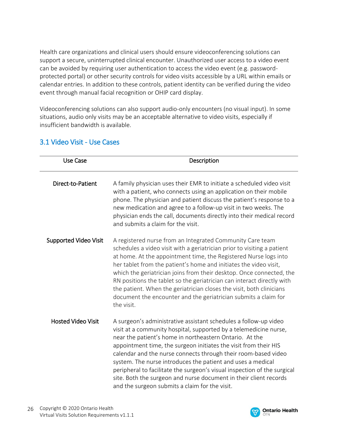Health care organizations and clinical users should ensure videoconferencing solutions can support a secure, uninterrupted clinical encounter. Unauthorized user access to a video event can be avoided by requiring user authentication to access the video event (e.g. passwordprotected portal) or other security controls for video visits accessible by a URL within emails or calendar entries. In addition to these controls, patient identity can be verified during the video event through manual facial recognition or OHIP card display.

Videoconferencing solutions can also support audio-only encounters (no visual input). In some situations, audio only visits may be an acceptable alternative to video visits, especially if insufficient bandwidth is available.

| <b>Use Case</b>              | Description                                                                                                                                                                                                                                                                                                                                                                                                                                                                                                                                                                                              |
|------------------------------|----------------------------------------------------------------------------------------------------------------------------------------------------------------------------------------------------------------------------------------------------------------------------------------------------------------------------------------------------------------------------------------------------------------------------------------------------------------------------------------------------------------------------------------------------------------------------------------------------------|
| Direct-to-Patient            | A family physician uses their EMR to initiate a scheduled video visit<br>with a patient, who connects using an application on their mobile<br>phone. The physician and patient discuss the patient's response to a<br>new medication and agree to a follow-up visit in two weeks. The<br>physician ends the call, documents directly into their medical record<br>and submits a claim for the visit.                                                                                                                                                                                                     |
| <b>Supported Video Visit</b> | A registered nurse from an Integrated Community Care team<br>schedules a video visit with a geriatrician prior to visiting a patient<br>at home. At the appointment time, the Registered Nurse logs into<br>her tablet from the patient's home and initiates the video visit,<br>which the geriatrician joins from their desktop. Once connected, the<br>RN positions the tablet so the geriatrician can interact directly with<br>the patient. When the geriatrician closes the visit, both clinicians<br>document the encounter and the geriatrician submits a claim for<br>the visit.                 |
| <b>Hosted Video Visit</b>    | A surgeon's administrative assistant schedules a follow-up video<br>visit at a community hospital, supported by a telemedicine nurse,<br>near the patient's home in northeastern Ontario. At the<br>appointment time, the surgeon initiates the visit from their HIS<br>calendar and the nurse connects through their room-based video<br>system. The nurse introduces the patient and uses a medical<br>peripheral to facilitate the surgeon's visual inspection of the surgical<br>site. Both the surgeon and nurse document in their client records<br>and the surgeon submits a claim for the visit. |

## 3.1 Video Visit - Use Cases

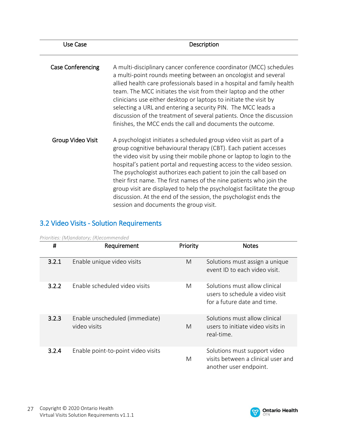| Use Case                 | Description                                                                                                                                                                                                                                                                                                                                                                                                                                                                                                                                                                                                                     |
|--------------------------|---------------------------------------------------------------------------------------------------------------------------------------------------------------------------------------------------------------------------------------------------------------------------------------------------------------------------------------------------------------------------------------------------------------------------------------------------------------------------------------------------------------------------------------------------------------------------------------------------------------------------------|
| <b>Case Conferencing</b> | A multi-disciplinary cancer conference coordinator (MCC) schedules<br>a multi-point rounds meeting between an oncologist and several<br>allied health care professionals based in a hospital and family health<br>team. The MCC initiates the visit from their laptop and the other<br>clinicians use either desktop or laptops to initiate the visit by<br>selecting a URL and entering a security PIN. The MCC leads a<br>discussion of the treatment of several patients. Once the discussion<br>finishes, the MCC ends the call and documents the outcome.                                                                  |
| Group Video Visit        | A psychologist initiates a scheduled group video visit as part of a<br>group cognitive behavioural therapy (CBT). Each patient accesses<br>the video visit by using their mobile phone or laptop to login to the<br>hospital's patient portal and requesting access to the video session.<br>The psychologist authorizes each patient to join the call based on<br>their first name. The first names of the nine patients who join the<br>group visit are displayed to help the psychologist facilitate the group<br>discussion. At the end of the session, the psychologist ends the<br>session and documents the group visit. |

# 3.2 Video Visits - Solution Requirements

| #     | Requirement                                    | Priority | <b>Notes</b>                                                                                    |
|-------|------------------------------------------------|----------|-------------------------------------------------------------------------------------------------|
| 3.2.1 | Enable unique video visits                     | M        | Solutions must assign a unique<br>event ID to each video visit.                                 |
| 3.2.2 | Enable scheduled video visits                  | M        | Solutions must allow clinical<br>users to schedule a video visit<br>for a future date and time. |
| 3.2.3 | Enable unscheduled (immediate)<br>video visits | M        | Solutions must allow clinical<br>users to initiate video visits in<br>real-time.                |
| 3.2.4 | Enable point-to-point video visits             | M        | Solutions must support video<br>visits between a clinical user and<br>another user endpoint.    |

*Priorities: (M)andatory; (R)ecommended*

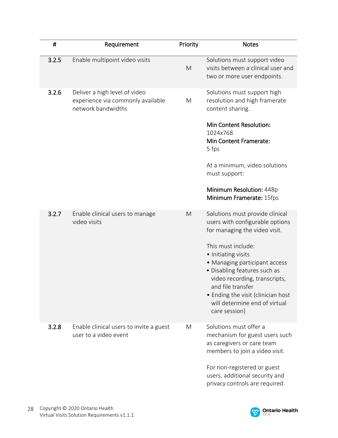| $\sharp$ | Requirement                                                                              | Priority | <b>Notes</b>                                                                                                                                                                                                                                                                                                                                                    |
|----------|------------------------------------------------------------------------------------------|----------|-----------------------------------------------------------------------------------------------------------------------------------------------------------------------------------------------------------------------------------------------------------------------------------------------------------------------------------------------------------------|
| 3.2.5    | Enable multipoint video visits                                                           | M        | Solutions must support video<br>visits between a clinical user and<br>two or more user endpoints.                                                                                                                                                                                                                                                               |
| 3.2.6    | Deliver a high level of video<br>experience via commonly available<br>network bandwidths | M        | Solutions must support high<br>resolution and high framerate<br>content sharing.<br><b>Min Content Resolution:</b><br>1024x768<br><b>Min Content Framerate:</b><br>5 fps<br>At a minimum, video solutions<br>must support:<br>Minimum Resolution: 448p<br>Minimum Framerate: 15fps                                                                              |
| 3.2.7    | Enable clinical users to manage<br>video visits                                          | M        | Solutions must provide clinical<br>users with configurable options<br>for managing the video visit.<br>This must include:<br>• Initiating visits<br>• Managing participant access<br>• Disabling features such as<br>video recording, transcripts,<br>and file transfer<br>• Ending the visit (clinician host<br>will determine end of virtual<br>care session) |
| 3.2.8    | Enable clinical users to invite a guest<br>user to a video event                         | M        | Solutions must offer a<br>mechanism for guest users such<br>as caregivers or care team<br>members to join a video visit.<br>For non-registered or guest<br>users, additional security and<br>privacy controls are required.                                                                                                                                     |

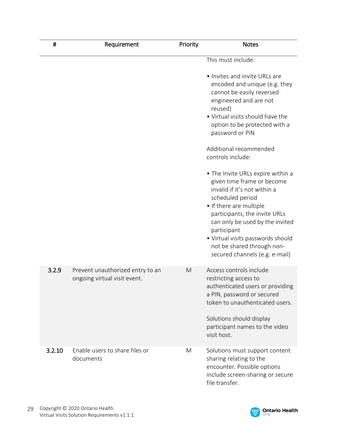| #      | Requirement                                                      | Priority | <b>Notes</b>                                                                                                                                                                                                                                                                                                                           |
|--------|------------------------------------------------------------------|----------|----------------------------------------------------------------------------------------------------------------------------------------------------------------------------------------------------------------------------------------------------------------------------------------------------------------------------------------|
|        |                                                                  |          | This must include:                                                                                                                                                                                                                                                                                                                     |
|        |                                                                  |          | • Invites and invite URLs are<br>encoded and unique (e.g. they<br>cannot be easily reversed<br>engineered and are not<br>reused)<br>• Virtual visits should have the<br>option to be protected with a<br>password or PIN                                                                                                               |
|        |                                                                  |          | Additional recommended<br>controls include:                                                                                                                                                                                                                                                                                            |
|        |                                                                  |          | • The Invite URLs expire within a<br>given time frame or become<br>invalid if it's not within a<br>scheduled period<br>• If there are multiple<br>participants, the invite URLs<br>can only be used by the invited<br>participant<br>• Virtual visits passwords should<br>not be shared through non-<br>secured channels (e.g. e-mail) |
| 3.2.9  | Prevent unauthorized entry to an<br>ongoing virtual visit event. | M        | Access controls include<br>restricting access to<br>authenticated users or providing<br>a PIN, password or secured<br>token to unauthenticated users.<br>Solutions should display<br>participant names to the video<br>visit host.                                                                                                     |
| 3.2.10 | Enable users to share files or<br>documents                      | M        | Solutions must support content<br>sharing relating to the<br>encounter. Possible options<br>include screen-sharing or secure<br>file transfer.                                                                                                                                                                                         |

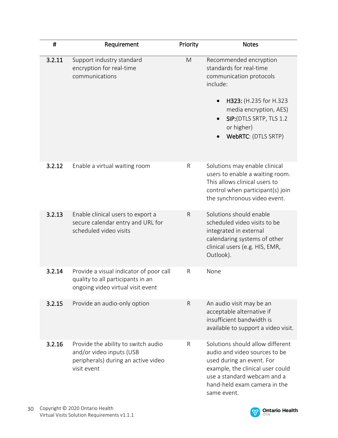| #      | Requirement                                                                                                           | Priority     | <b>Notes</b>                                                                                                                                                                                                              |
|--------|-----------------------------------------------------------------------------------------------------------------------|--------------|---------------------------------------------------------------------------------------------------------------------------------------------------------------------------------------------------------------------------|
| 3.2.11 | Support industry standard<br>encryption for real-time<br>communications                                               | M            | Recommended encryption<br>standards for real-time<br>communication protocols<br>include:<br>H323: (H.235 for H.323<br>media encryption, AES)<br>SIP:(DTLS SRTP, TLS 1.2<br>$\bullet$<br>or higher)<br>WebRTC: (DTLS SRTP) |
| 3.2.12 | Enable a virtual waiting room                                                                                         | $\mathsf R$  | Solutions may enable clinical<br>users to enable a waiting room.<br>This allows clinical users to<br>control when participant(s) join<br>the synchronous video event.                                                     |
| 3.2.13 | Enable clinical users to export a<br>secure calendar entry and URL for<br>scheduled video visits                      | $\mathsf{R}$ | Solutions should enable<br>scheduled video visits to be<br>integrated in external<br>calendaring systems of other<br>clinical users (e.g. HIS, EMR,<br>Outlook).                                                          |
| 3.2.14 | Provide a visual indicator of poor call<br>quality to all participants in an<br>ongoing video virtual visit event     | R            | None                                                                                                                                                                                                                      |
| 3.2.15 | Provide an audio-only option                                                                                          | $\mathsf{R}$ | An audio visit may be an<br>acceptable alternative if<br>insufficient bandwidth is<br>available to support a video visit.                                                                                                 |
| 3.2.16 | Provide the ability to switch audio<br>and/or video inputs (USB<br>peripherals) during an active video<br>visit event | R            | Solutions should allow different<br>audio and video sources to be<br>used during an event. For<br>example, the clinical user could<br>use a standard webcam and a<br>hand-held exam camera in the<br>same event.          |

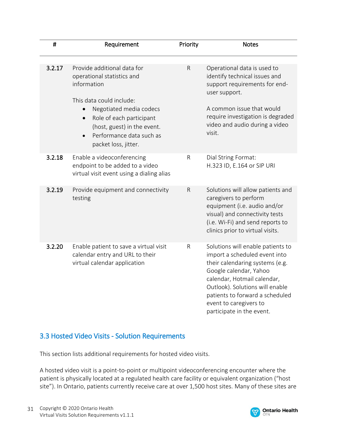| $\sharp$ | Requirement                                                                                                                                         | Priority     | <b>Notes</b>                                                                                                                                                                                                                                                                                |
|----------|-----------------------------------------------------------------------------------------------------------------------------------------------------|--------------|---------------------------------------------------------------------------------------------------------------------------------------------------------------------------------------------------------------------------------------------------------------------------------------------|
| 3.2.17   | Provide additional data for<br>operational statistics and<br>information<br>This data could include:                                                | $\mathsf R$  | Operational data is used to<br>identify technical issues and<br>support requirements for end-<br>user support.                                                                                                                                                                              |
|          | Negotiated media codecs<br>Role of each participant<br>$\bullet$<br>(host, guest) in the event.<br>Performance data such as<br>packet loss, jitter. |              | A common issue that would<br>require investigation is degraded<br>video and audio during a video<br>visit.                                                                                                                                                                                  |
| 3.2.18   | Enable a videoconferencing<br>endpoint to be added to a video<br>virtual visit event using a dialing alias                                          | ${\sf R}$    | Dial String Format:<br>H.323 ID, E.164 or SIP URI                                                                                                                                                                                                                                           |
| 3.2.19   | Provide equipment and connectivity<br>testing                                                                                                       | $\mathsf R$  | Solutions will allow patients and<br>caregivers to perform<br>equipment (i.e. audio and/or<br>visual) and connectivity tests<br>(i.e. Wi-Fi) and send reports to<br>clinics prior to virtual visits.                                                                                        |
| 3.2.20   | Enable patient to save a virtual visit<br>calendar entry and URL to their<br>virtual calendar application                                           | $\mathsf{R}$ | Solutions will enable patients to<br>import a scheduled event into<br>their calendaring systems (e.g.<br>Google calendar, Yahoo<br>calendar, Hotmail calendar,<br>Outlook). Solutions will enable<br>patients to forward a scheduled<br>event to caregivers to<br>participate in the event. |

# 3.3 Hosted Video Visits - Solution Requirements

This section lists additional requirements for hosted video visits.

A hosted video visit is a point-to-point or multipoint videoconferencing encounter where the patient is physically located at a regulated health care facility or equivalent organization ("host site"). In Ontario, patients currently receive care at over 1,500 host sites. Many of these sites are

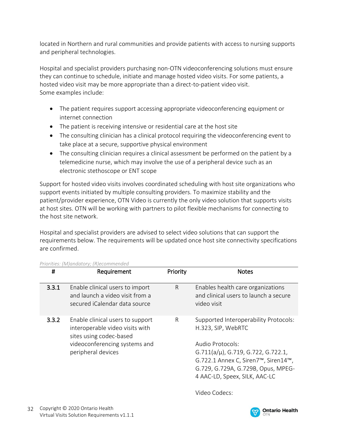located in Northern and rural communities and provide patients with access to nursing supports and peripheral technologies.

Hospital and specialist providers purchasing non-OTN videoconferencing solutions must ensure they can continue to schedule, initiate and manage hosted video visits. For some patients, a hosted video visit may be more appropriate than a direct-to-patient video visit. Some examples include:

- The patient requires support accessing appropriate videoconferencing equipment or internet connection
- The patient is receiving intensive or residential care at the host site
- The consulting clinician has a clinical protocol requiring the videoconferencing event to take place at a secure, supportive physical environment
- The consulting clinician requires a clinical assessment be performed on the patient by a telemedicine nurse, which may involve the use of a peripheral device such as an electronic stethoscope or ENT scope

Support for hosted video visits involves coordinated scheduling with host site organizations who support events initiated by multiple consulting providers. To maximize stability and the patient/provider experience, OTN Video is currently the only video solution that supports visits at host sites. OTN will be working with partners to pilot flexible mechanisms for connecting to the host site network.

Hospital and specialist providers are advised to select video solutions that can support the requirements below. The requirements will be updated once host site connectivity specifications are confirmed.

| Requirement                                                                                                                                           | Priority     | <b>Notes</b>                                                                                                                                                                                                                                          |
|-------------------------------------------------------------------------------------------------------------------------------------------------------|--------------|-------------------------------------------------------------------------------------------------------------------------------------------------------------------------------------------------------------------------------------------------------|
| Enable clinical users to import<br>and launch a video visit from a<br>secured iCalendar data source                                                   | $\mathsf{R}$ | Enables health care organizations<br>and clinical users to launch a secure<br>video visit                                                                                                                                                             |
| Enable clinical users to support<br>interoperable video visits with<br>sites using codec-based<br>videoconferencing systems and<br>peripheral devices | R            | Supported Interoperability Protocols:<br>H.323, SIP, WebRTC<br>Audio Protocols:<br>$G.711(a/\mu)$ , G.719, G.722, G.722.1,<br>G.722.1 Annex C, Siren7 <sup>™</sup> , Siren14™,<br>G.729, G.729A, G.729B, Opus, MPEG-<br>4 AAC-LD, Speex, SILK, AAC-LC |
|                                                                                                                                                       |              |                                                                                                                                                                                                                                                       |

*Priorities: (M)andatory; (R)ecommended*

Video Codecs:

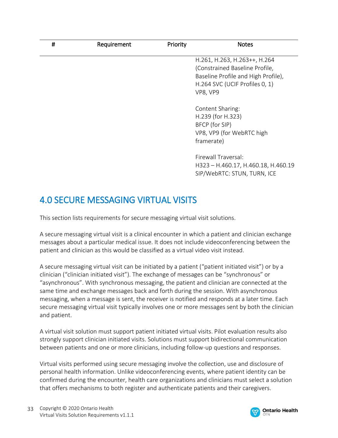| # | Requirement | Priority | <b>Notes</b>                                                                                                                                        |
|---|-------------|----------|-----------------------------------------------------------------------------------------------------------------------------------------------------|
|   |             |          | H.261, H.263, H.263++, H.264<br>(Constrained Baseline Profile,<br>Baseline Profile and High Profile),<br>H.264 SVC (UCIF Profiles 0, 1)<br>VP8, VP9 |
|   |             |          | Content Sharing:<br>H.239 (for H.323)<br>BFCP (for SIP)<br>VP8, VP9 (for WebRTC high<br>framerate)                                                  |
|   |             |          | Firewall Traversal:<br>H323 - H.460.17, H.460.18, H.460.19<br>SIP/WebRTC: STUN, TURN, ICE                                                           |

# 4.0 SECURE MESSAGING VIRTUAL VISITS

This section lists requirements for secure messaging virtual visit solutions.

A secure messaging virtual visit is a clinical encounter in which a patient and clinician exchange messages about a particular medical issue. It does not include videoconferencing between the patient and clinician as this would be classified as a virtual video visit instead.

A secure messaging virtual visit can be initiated by a patient ("patient initiated visit") or by a clinician ("clinician initiated visit"). The exchange of messages can be "synchronous" or "asynchronous". With synchronous messaging, the patient and clinician are connected at the same time and exchange messages back and forth during the session. With asynchronous messaging, when a message is sent, the receiver is notified and responds at a later time. Each secure messaging virtual visit typically involves one or more messages sent by both the clinician and patient.

A virtual visit solution must support patient initiated virtual visits. Pilot evaluation results also strongly support clinician initiated visits. Solutions must support bidirectional communication between patients and one or more clinicians, including follow-up questions and responses.

Virtual visits performed using secure messaging involve the collection, use and disclosure of personal health information. Unlike videoconferencing events, where patient identity can be confirmed during the encounter, health care organizations and clinicians must select a solution that offers mechanisms to both register and authenticate patients and their caregivers.

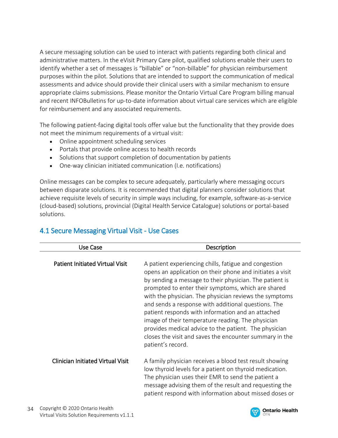A secure messaging solution can be used to interact with patients regarding both clinical and administrative matters. In the eVisit Primary Care pilot, qualified solutions enable their users to identify whether a set of messages is "billable" or "non-billable" for physician reimbursement purposes within the pilot. Solutions that are intended to support the communication of medical assessments and advice should provide their clinical users with a similar mechanism to ensure appropriate claims submissions. Please monitor the Ontario Virtual Care Program billing manual and recent INFOBulletins for up-to-date information about virtual care services which are eligible for reimbursement and any associated requirements.

The following patient-facing digital tools offer value but the functionality that they provide does not meet the minimum requirements of a virtual visit:

- Online appointment scheduling services
- Portals that provide online access to health records
- Solutions that support completion of documentation by patients
- One-way clinician initiated communication (I.e. notifications)

Online messages can be complex to secure adequately, particularly where messaging occurs between disparate solutions. It is recommended that digital planners consider solutions that achieve requisite levels of security in simple ways including, for example, software-as-a-service (cloud-based) solutions, provincial (Digital Health Service Catalogue) solutions or portal-based solutions.  

| Use Case                                 | Description                                                                                                                                                                                                                                                                                                                                                                                                                                                                                                                                                                                             |
|------------------------------------------|---------------------------------------------------------------------------------------------------------------------------------------------------------------------------------------------------------------------------------------------------------------------------------------------------------------------------------------------------------------------------------------------------------------------------------------------------------------------------------------------------------------------------------------------------------------------------------------------------------|
| <b>Patient Initiated Virtual Visit</b>   | A patient experiencing chills, fatigue and congestion<br>opens an application on their phone and initiates a visit<br>by sending a message to their physician. The patient is<br>prompted to enter their symptoms, which are shared<br>with the physician. The physician reviews the symptoms<br>and sends a response with additional questions. The<br>patient responds with information and an attached<br>image of their temperature reading. The physician<br>provides medical advice to the patient. The physician<br>closes the visit and saves the encounter summary in the<br>patient's record. |
| <b>Clinician Initiated Virtual Visit</b> | A family physician receives a blood test result showing<br>low thyroid levels for a patient on thyroid medication.<br>The physician uses their EMR to send the patient a<br>message advising them of the result and requesting the<br>patient respond with information about missed doses or                                                                                                                                                                                                                                                                                                            |

# 4.1 Secure Messaging Virtual Visit - Use Cases

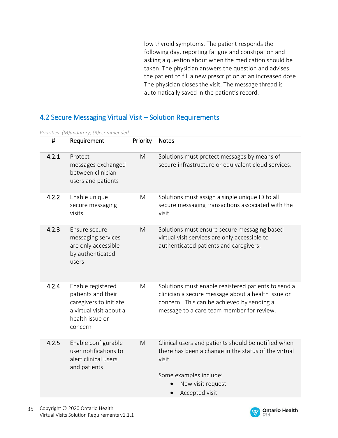low thyroid symptoms. The patient responds the following day, reporting fatigue and constipation and asking a question about when the medication should be taken. The physician answers the question and advises the patient to fill a new prescription at an increased dose. The physician closes the visit. The message thread is automatically saved in the patient's record.

## 4.2 Secure Messaging Virtual Visit – Solution Requirements

| #     | Requirement                                                                                                                | Priority | <b>Notes</b>                                                                                                                                                                                         |
|-------|----------------------------------------------------------------------------------------------------------------------------|----------|------------------------------------------------------------------------------------------------------------------------------------------------------------------------------------------------------|
| 4.2.1 | Protect<br>messages exchanged<br>between clinician<br>users and patients                                                   | M        | Solutions must protect messages by means of<br>secure infrastructure or equivalent cloud services.                                                                                                   |
| 4.2.2 | Enable unique<br>secure messaging<br>visits                                                                                | M        | Solutions must assign a single unique ID to all<br>secure messaging transactions associated with the<br>visit.                                                                                       |
| 4.2.3 | Ensure secure<br>messaging services<br>are only accessible<br>by authenticated<br>users                                    | M        | Solutions must ensure secure messaging based<br>virtual visit services are only accessible to<br>authenticated patients and caregivers.                                                              |
| 4.2.4 | Enable registered<br>patients and their<br>caregivers to initiate<br>a virtual visit about a<br>health issue or<br>concern | M        | Solutions must enable registered patients to send a<br>clinician a secure message about a health issue or<br>concern. This can be achieved by sending a<br>message to a care team member for review. |
| 4.2.5 | Enable configurable<br>user notifications to<br>alert clinical users<br>and patients                                       | M        | Clinical users and patients should be notified when<br>there has been a change in the status of the virtual<br>visit.<br>Some examples include:<br>New visit request<br>Accepted visit               |

*Priorities: (M)andatory; (R)ecommended*

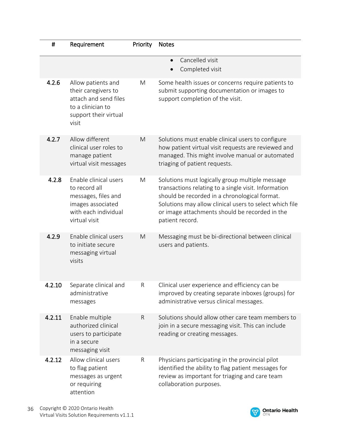| #      | Requirement                                                                                                                 | Priority | <b>Notes</b>                                                                                                                                                                                                                                                                             |
|--------|-----------------------------------------------------------------------------------------------------------------------------|----------|------------------------------------------------------------------------------------------------------------------------------------------------------------------------------------------------------------------------------------------------------------------------------------------|
|        |                                                                                                                             |          | Cancelled visit<br>$\bullet$<br>Completed visit                                                                                                                                                                                                                                          |
| 4.2.6  | Allow patients and<br>their caregivers to<br>attach and send files<br>to a clinician to<br>support their virtual<br>visit   | M        | Some health issues or concerns require patients to<br>submit supporting documentation or images to<br>support completion of the visit.                                                                                                                                                   |
| 4.2.7  | Allow different<br>clinical user roles to<br>manage patient<br>virtual visit messages                                       | M        | Solutions must enable clinical users to configure<br>how patient virtual visit requests are reviewed and<br>managed. This might involve manual or automated<br>triaging of patient requests.                                                                                             |
| 4.2.8  | Enable clinical users<br>to record all<br>messages, files and<br>images associated<br>with each individual<br>virtual visit | M        | Solutions must logically group multiple message<br>transactions relating to a single visit. Information<br>should be recorded in a chronological format.<br>Solutions may allow clinical users to select which file<br>or image attachments should be recorded in the<br>patient record. |
| 4.2.9  | Enable clinical users<br>to initiate secure<br>messaging virtual<br>visits                                                  | M        | Messaging must be bi-directional between clinical<br>users and patients.                                                                                                                                                                                                                 |
| 4.2.10 | Separate clinical and<br>administrative<br>messages                                                                         | R        | Clinical user experience and efficiency can be<br>improved by creating separate inboxes (groups) for<br>administrative versus clinical messages.                                                                                                                                         |
| 4.2.11 | Enable multiple<br>authorized clinical<br>users to participate<br>in a secure<br>messaging visit                            | R        | Solutions should allow other care team members to<br>join in a secure messaging visit. This can include<br>reading or creating messages.                                                                                                                                                 |
| 4.2.12 | Allow clinical users<br>to flag patient<br>messages as urgent<br>or requiring<br>attention                                  | R        | Physicians participating in the provincial pilot<br>identified the ability to flag patient messages for<br>review as important for triaging and care team<br>collaboration purposes.                                                                                                     |

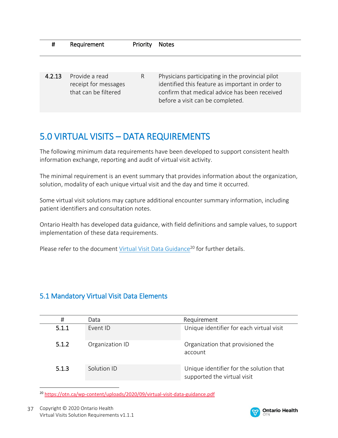| Ħ      | Requirement                                                    | Priority | <b>Notes</b>                                                                                                                                                                              |
|--------|----------------------------------------------------------------|----------|-------------------------------------------------------------------------------------------------------------------------------------------------------------------------------------------|
|        |                                                                |          |                                                                                                                                                                                           |
| 4.2.13 | Provide a read<br>receipt for messages<br>that can be filtered | R        | Physicians participating in the provincial pilot<br>identified this feature as important in order to<br>confirm that medical advice has been received<br>before a visit can be completed. |

# 5.0 VIRTUAL VISITS – DATA REQUIREMENTS

The following minimum data requirements have been developed to support consistent health information exchange, reporting and audit of virtual visit activity.

The minimal requirement is an event summary that provides information about the organization, solution, modality of each unique virtual visit and the day and time it occurred.

Some virtual visit solutions may capture additional encounter summary information, including patient identifiers and consultation notes.

Ontario Health has developed data guidance, with field definitions and sample values, to support implementation of these data requirements.

Please refer to the document [Virtual Visit Data Guidance](https://otn.ca/wp-content/uploads/2020/09/virtual-visit-data-guidance.pdf)<sup>20</sup> for further details.

# 5.1 Mandatory Virtual Visit Data Elements

| #     | Data            | Requirement                                                            |
|-------|-----------------|------------------------------------------------------------------------|
| 5.1.1 | Fvent ID        | Unique identifier for each virtual visit                               |
| 5.1.2 | Organization ID | Organization that provisioned the<br>account                           |
| 5.1.3 | Solution ID     | Unique identifier for the solution that<br>supported the virtual visit |

<sup>20</sup> <https://otn.ca/wp-content/uploads/2020/09/virtual-visit-data-guidance.pdf>

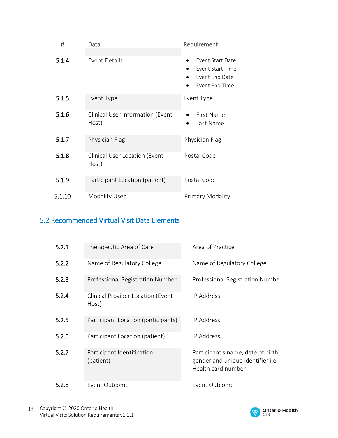| #      | Data                                      | Requirement                                                         |
|--------|-------------------------------------------|---------------------------------------------------------------------|
| 5.1.4  | <b>Event Details</b>                      | Event Start Date<br>$\bullet$<br>Event Start Time<br>Event End Date |
|        |                                           | Event End Time                                                      |
| 5.1.5  | Event Type                                | Event Type                                                          |
| 5.1.6  | Clinical User Information (Event<br>Host) | First Name<br>Last Name<br>$\bullet$                                |
| 5.1.7  | Physician Flag                            | Physician Flag                                                      |
| 5.1.8  | Clinical User Location (Event<br>Host)    | Postal Code                                                         |
| 5.1.9  | Participant Location (patient)            | Postal Code                                                         |
| 5.1.10 | Modality Used                             | Primary Modality                                                    |

# 5.2 Recommended Virtual Visit Data Elements

| 5.2.1 | Therapeutic Area of Care                   | Area of Practice                                                                              |
|-------|--------------------------------------------|-----------------------------------------------------------------------------------------------|
| 5.2.2 | Name of Regulatory College                 | Name of Regulatory College                                                                    |
| 5.2.3 | Professional Registration Number           | Professional Registration Number                                                              |
| 5.2.4 | Clinical Provider Location (Event<br>Host) | <b>IP Address</b>                                                                             |
| 5.2.5 | Participant Location (participants)        | <b>IP Address</b>                                                                             |
| 5.2.6 | Participant Location (patient)             | <b>IP Address</b>                                                                             |
| 5.2.7 | Participant Identification<br>(patient)    | Participant's name, date of birth,<br>gender and unique identifier i.e.<br>Health card number |
| 5.2.8 | Event Outcome                              | Event Outcome                                                                                 |

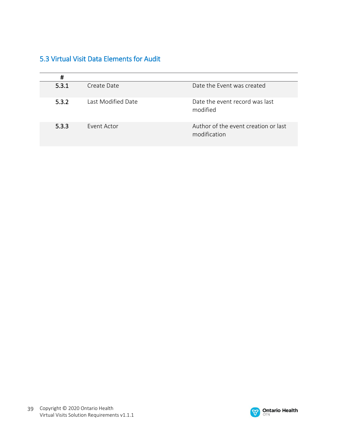# 5.3 Virtual Visit Data Elements for Audit

| $\sharp$ |                    |                                                      |
|----------|--------------------|------------------------------------------------------|
| 5.3.1    | Create Date        | Date the Event was created                           |
| 5.3.2    | Last Modified Date | Date the event record was last<br>modified           |
| 5.3.3    | Event Actor        | Author of the event creation or last<br>modification |